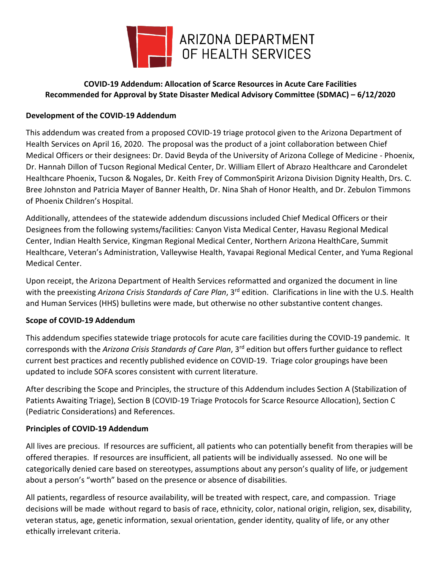

# **COVID-19 Addendum: Allocation of Scarce Resources in Acute Care Facilities Recommended for Approval by State Disaster Medical Advisory Committee (SDMAC) – 6/12/2020**

## **Development of the COVID-19 Addendum**

This addendum was created from a proposed COVID-19 triage protocol given to the Arizona Department of Health Services on April 16, 2020. The proposal was the product of a joint collaboration between Chief Medical Officers or their designees: Dr. David Beyda of the University of Arizona College of Medicine - Phoenix, Dr. Hannah Dillon of Tucson Regional Medical Center, Dr. William Ellert of Abrazo Healthcare and Carondelet Healthcare Phoenix, Tucson & Nogales, Dr. Keith Frey of CommonSpirit Arizona Division Dignity Health, Drs. C. Bree Johnston and Patricia Mayer of Banner Health, Dr. Nina Shah of Honor Health, and Dr. Zebulon Timmons of Phoenix Children's Hospital.

Additionally, attendees of the statewide addendum discussions included Chief Medical Officers or their Designees from the following systems/facilities: Canyon Vista Medical Center, Havasu Regional Medical Center, Indian Health Service, Kingman Regional Medical Center, Northern Arizona HealthCare, Summit Healthcare, Veteran's Administration, Valleywise Health, Yavapai Regional Medical Center, and Yuma Regional Medical Center.

Upon receipt, the Arizona Department of Health Services reformatted and organized the document in line with the preexisting *Arizona Crisis Standards of Care Plan*, 3rd edition. Clarifications in line with the U.S. Health and Human Services (HHS) bulletins were made, but otherwise no other substantive content changes.

### **Scope of COVID-19 Addendum**

This addendum specifies statewide triage protocols for acute care facilities during the COVID-19 pandemic. It corresponds with the *Arizona Crisis Standards of Care Plan*, 3rd edition but offers further guidance to reflect current best practices and recently published evidence on COVID-19. Triage color groupings have been updated to include SOFA scores consistent with current literature.

After describing the Scope and Principles, the structure of this Addendum includes Section A (Stabilization of Patients Awaiting Triage), Section B (COVID-19 Triage Protocols for Scarce Resource Allocation), Section C (Pediatric Considerations) and References.

### **Principles of COVID-19 Addendum**

All lives are precious. If resources are sufficient, all patients who can potentially benefit from therapies will be offered therapies. If resources are insufficient, all patients will be individually assessed. No one will be categorically denied care based on stereotypes, assumptions about any person's quality of life, or judgement about a person's "worth" based on the presence or absence of disabilities.

All patients, regardless of resource availability, will be treated with respect, care, and compassion. Triage decisions will be made without regard to basis of race, ethnicity, color, national origin, religion, sex, disability, veteran status, age, genetic information, sexual orientation, gender identity, quality of life, or any other ethically irrelevant criteria.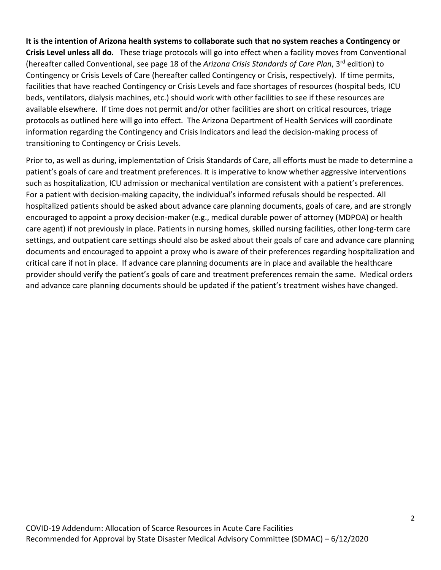**It is the intention of Arizona health systems to collaborate such that no system reaches a Contingency or Crisis Level unless all do.**These triage protocols will go into effect when a facility moves from Conventional (hereafter called Conventional, see page 18 of the *Arizona Crisis Standards of Care Plan*, 3rd edition) to Contingency or Crisis Levels of Care (hereafter called Contingency or Crisis, respectively). If time permits, facilities that have reached Contingency or Crisis Levels and face shortages of resources (hospital beds, ICU beds, ventilators, dialysis machines, etc.) should work with other facilities to see if these resources are available elsewhere. If time does not permit and/or other facilities are short on critical resources, triage protocols as outlined here will go into effect. The Arizona Department of Health Services will coordinate information regarding the Contingency and Crisis Indicators and lead the decision-making process of transitioning to Contingency or Crisis Levels.

Prior to, as well as during, implementation of Crisis Standards of Care, all efforts must be made to determine a patient's goals of care and treatment preferences. It is imperative to know whether aggressive interventions such as hospitalization, ICU admission or mechanical ventilation are consistent with a patient's preferences. For a patient with decision-making capacity, the individual's informed refusals should be respected. All hospitalized patients should be asked about advance care planning documents, goals of care, and are strongly encouraged to appoint a proxy decision-maker (e.g., medical durable power of attorney (MDPOA) or health care agent) if not previously in place. Patients in nursing homes, skilled nursing facilities, other long-term care settings, and outpatient care settings should also be asked about their goals of care and advance care planning documents and encouraged to appoint a proxy who is aware of their preferences regarding hospitalization and critical care if not in place. If advance care planning documents are in place and available the healthcare provider should verify the patient's goals of care and treatment preferences remain the same. Medical orders and advance care planning documents should be updated if the patient's treatment wishes have changed.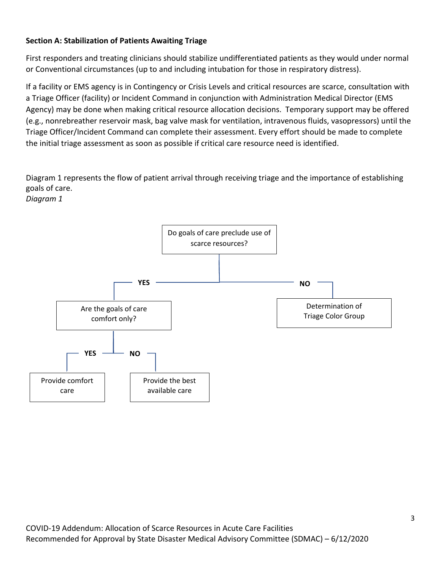## **Section A: Stabilization of Patients Awaiting Triage**

First responders and treating clinicians should stabilize undifferentiated patients as they would under normal or Conventional circumstances (up to and including intubation for those in respiratory distress).

If a facility or EMS agency is in Contingency or Crisis Levels and critical resources are scarce, consultation with a Triage Officer (facility) or Incident Command in conjunction with Administration Medical Director (EMS Agency) may be done when making critical resource allocation decisions. Temporary support may be offered (e.g., nonrebreather reservoir mask, bag valve mask for ventilation, intravenous fluids, vasopressors) until the Triage Officer/Incident Command can complete their assessment. Every effort should be made to complete the initial triage assessment as soon as possible if critical care resource need is identified.

Diagram 1 represents the flow of patient arrival through receiving triage and the importance of establishing goals of care.

*Diagram 1*

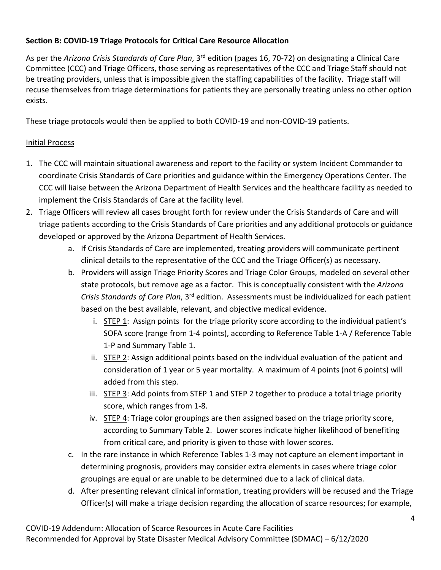# **Section B: COVID-19 Triage Protocols for Critical Care Resource Allocation**

As per the *Arizona Crisis Standards of Care Plan*, 3rd edition (pages 16, 70-72) on designating a Clinical Care Committee (CCC) and Triage Officers, those serving as representatives of the CCC and Triage Staff should not be treating providers, unless that is impossible given the staffing capabilities of the facility. Triage staff will recuse themselves from triage determinations for patients they are personally treating unless no other option exists.

These triage protocols would then be applied to both COVID-19 and non-COVID-19 patients.

# Initial Process

- 1. The CCC will maintain situational awareness and report to the facility or system Incident Commander to coordinate Crisis Standards of Care priorities and guidance within the Emergency Operations Center. The CCC will liaise between the Arizona Department of Health Services and the healthcare facility as needed to implement the Crisis Standards of Care at the facility level.
- 2. Triage Officers will review all cases brought forth for review under the Crisis Standards of Care and will triage patients according to the Crisis Standards of Care priorities and any additional protocols or guidance developed or approved by the Arizona Department of Health Services.
	- a. If Crisis Standards of Care are implemented, treating providers will communicate pertinent clinical details to the representative of the CCC and the Triage Officer(s) as necessary.
	- b. Providers will assign Triage Priority Scores and Triage Color Groups, modeled on several other state protocols, but remove age as a factor. This is conceptually consistent with the *Arizona Crisis Standards of Care Plan*, 3rd edition. Assessments must be individualized for each patient based on the best available, relevant, and objective medical evidence.
		- i.  $STEP 1$ : Assign points for the triage priority score according to the individual patient's SOFA score (range from 1-4 points), according to Reference Table 1-A / Reference Table 1-P and Summary Table 1.
		- ii. STEP 2: Assign additional points based on the individual evaluation of the patient and consideration of 1 year or 5 year mortality. A maximum of 4 points (not 6 points) will added from this step.
		- iii.  $STEP 3$ : Add points from STEP 1 and STEP 2 together to produce a total triage priority score, which ranges from 1-8.
		- iv.  $STEP 4$ : Triage color groupings are then assigned based on the triage priority score, according to Summary Table 2. Lower scores indicate higher likelihood of benefiting from critical care, and priority is given to those with lower scores.
	- c. In the rare instance in which Reference Tables 1-3 may not capture an element important in determining prognosis, providers may consider extra elements in cases where triage color groupings are equal or are unable to be determined due to a lack of clinical data.
	- d. After presenting relevant clinical information, treating providers will be recused and the Triage Officer(s) will make a triage decision regarding the allocation of scarce resources; for example,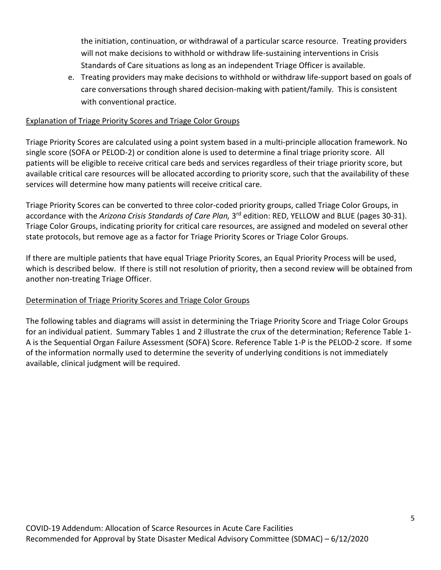the initiation, continuation, or withdrawal of a particular scarce resource. Treating providers will not make decisions to withhold or withdraw life-sustaining interventions in Crisis Standards of Care situations as long as an independent Triage Officer is available.

e. Treating providers may make decisions to withhold or withdraw life-support based on goals of care conversations through shared decision-making with patient/family. This is consistent with conventional practice.

### Explanation of Triage Priority Scores and Triage Color Groups

Triage Priority Scores are calculated using a point system based in a multi-principle allocation framework. No single score (SOFA or PELOD-2) or condition alone is used to determine a final triage priority score. All patients will be eligible to receive critical care beds and services regardless of their triage priority score, but available critical care resources will be allocated according to priority score, such that the availability of these services will determine how many patients will receive critical care.

Triage Priority Scores can be converted to three color-coded priority groups, called Triage Color Groups, in accordance with the *Arizona Crisis Standards of Care Plan,* 3rd edition: RED, YELLOW and BLUE (pages 30-31). Triage Color Groups, indicating priority for critical care resources, are assigned and modeled on several other state protocols, but remove age as a factor for Triage Priority Scores or Triage Color Groups.

If there are multiple patients that have equal Triage Priority Scores, an Equal Priority Process will be used, which is described below. If there is still not resolution of priority, then a second review will be obtained from another non-treating Triage Officer.

### Determination of Triage Priority Scores and Triage Color Groups

The following tables and diagrams will assist in determining the Triage Priority Score and Triage Color Groups for an individual patient. Summary Tables 1 and 2 illustrate the crux of the determination; Reference Table 1- A is the Sequential Organ Failure Assessment (SOFA) Score. Reference Table 1-P is the PELOD-2 score. If some of the information normally used to determine the severity of underlying conditions is not immediately available, clinical judgment will be required.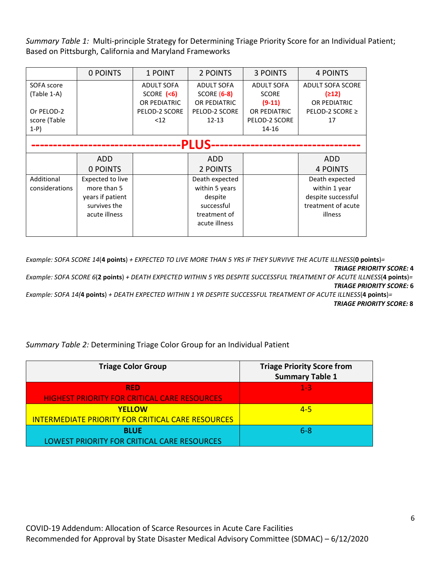*Summary Table 1:* Multi-principle Strategy for Determining Triage Priority Score for an Individual Patient; Based on Pittsburgh, California and Maryland Frameworks

|                | 0 POINTS         | 1 POINT           | 2 POINTS           | <b>3 POINTS</b>   | <b>4 POINTS</b>         |
|----------------|------------------|-------------------|--------------------|-------------------|-------------------------|
| SOFA score     |                  | <b>ADULT SOFA</b> | <b>ADULT SOFA</b>  | <b>ADULT SOFA</b> | <b>ADULT SOFA SCORE</b> |
| (Table 1-A)    |                  | SCORE $($         | <b>SCORE (6-8)</b> | <b>SCORE</b>      | (212)                   |
|                |                  | OR PEDIATRIC      | OR PEDIATRIC       | $(9-11)$          | OR PEDIATRIC            |
| Or PELOD-2     |                  | PELOD-2 SCORE     | PELOD-2 SCORE      | OR PEDIATRIC      | PELOD-2 SCORE ≥         |
| score (Table   |                  | $<$ 12            | $12 - 13$          | PELOD-2 SCORE     | 17                      |
| $1-P$          |                  |                   |                    | 14-16             |                         |
|                |                  |                   | <b>PLUS</b>        |                   |                         |
|                |                  |                   |                    |                   |                         |
|                | ADD.             |                   | ADD                |                   | <b>ADD</b>              |
|                | 0 POINTS         |                   | 2 POINTS           |                   | <b>4 POINTS</b>         |
| Additional     | Expected to live |                   | Death expected     |                   | Death expected          |
| considerations | more than 5      |                   | within 5 years     |                   | within 1 year           |
|                | years if patient |                   | despite            |                   | despite successful      |
|                | survives the     |                   | successful         |                   | treatment of acute      |
|                | acute illness    |                   | treatment of       |                   | illness                 |
|                |                  |                   | acute illness      |                   |                         |
|                |                  |                   |                    |                   |                         |

*Example: SOFA SCORE 14*(**4 points**) *+ EXPECTED TO LIVE MORE THAN 5 YRS IF THEY SURVIVE THE ACUTE ILLNESS*(**0 points**)*= TRIAGE PRIORITY SCORE:* **4** 

*Example: SOFA SCORE 6*(**2 points**) *+ DEATH EXPECTED WITHIN 5 YRS DESPITE SUCCESSFUL TREATMENT OF ACUTE ILLNESS*(**4 points**)*= TRIAGE PRIORITY SCORE:* **6**

*Example: SOFA 14(***4 points**) *+ DEATH EXPECTED WITHIN 1 YR DESPITE SUCCESSFUL TREATMENT OF ACUTE ILLNESS*(**4 points**)*= TRIAGE PRIORITY SCORE:* **8**

*Summary Table 2:* Determining Triage Color Group for an Individual Patient

| <b>Triage Color Group</b>                                | <b>Triage Priority Score from</b><br><b>Summary Table 1</b> |
|----------------------------------------------------------|-------------------------------------------------------------|
| <b>RED</b>                                               | $1 - 3$                                                     |
| <b>HIGHEST PRIORITY FOR CRITICAL CARE RESOURCES</b>      |                                                             |
| <b>YELLOW</b>                                            | $4 - 5$                                                     |
| <b>INTERMEDIATE PRIORITY FOR CRITICAL CARE RESOURCES</b> |                                                             |
| <b>BLUE</b>                                              | $6 - 8$                                                     |
| LOWEST PRIORITY FOR CRITICAL CARE RESOURCES              |                                                             |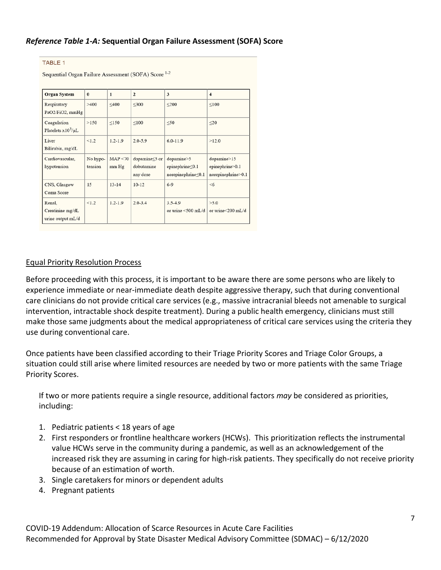## *Reference Table 1-A:* **Sequential Organ Failure Assessment (SOFA) Score**

#### **TABLE 1**

Sequential Organ Failure Assessment (SOFA) Score 1-2

| <b>Organ System</b>                             | $\bf{0}$            | $\mathbf{1}$      | $\overline{2}$                          | 3                                                           | $\overline{\mathbf{4}}$                                         |
|-------------------------------------------------|---------------------|-------------------|-----------------------------------------|-------------------------------------------------------------|-----------------------------------------------------------------|
| Respiratory<br>PaO2/FiO2, mmHg                  | >400                | $<$ 400           | $<$ 300                                 | $\leq$ 200                                                  | < 100                                                           |
| Coagulation<br>Platelets $x10^3/\mu L$          | >150                | $\leq$ 150        | $\leq 100$                              | $\leq 50$                                                   | $\leq$ 20                                                       |
| Liver<br>Bilirubin, mg/dL                       | < 1.2               | $1.2 - 1.9$       | $2.0 - 5.9$                             | $6.0 - 11.9$                                                | >12.0                                                           |
| Cardiovascular,<br>hypotension                  | No hypo-<br>tension | MAP < 70<br>mm Hg | dopamine≤5 or<br>dobutamine<br>any dose | dopamine>5<br>epinephrine <0.1<br>$norepinephrine \leq 0.1$ | $\text{dopamine} > 15$<br>epinephrine>0.1<br>norepinephrine>0.1 |
| CNS, Glasgow<br>Coma Score                      | 15                  | $13 - 14$         | $10-12$                                 | $6-9$                                                       | <6                                                              |
| Renal.<br>Creatinine mg/dL<br>urine output mL/d | <1.2                | $1.2 - 1.9$       | $2.0 - 3.4$                             | $3.5 - 4.9$<br>or urine <500 mL/d                           | >5.0<br>or urine $\leq$ 200 mL/d                                |

### Equal Priority Resolution Process

Before proceeding with this process, it is important to be aware there are some persons who are likely to experience immediate or near-immediate death despite aggressive therapy, such that during conventional care clinicians do not provide critical care services (e.g., massive intracranial bleeds not amenable to surgical intervention, intractable shock despite treatment). During a public health emergency, clinicians must still make those same judgments about the medical appropriateness of critical care services using the criteria they use during conventional care.

Once patients have been classified according to their Triage Priority Scores and Triage Color Groups, a situation could still arise where limited resources are needed by two or more patients with the same Triage Priority Scores.

If two or more patients require a single resource, additional factors *may* be considered as priorities, including:

- 1. Pediatric patients < 18 years of age
- 2. First responders or frontline healthcare workers (HCWs). This prioritization reflects the instrumental value HCWs serve in the community during a pandemic, as well as an acknowledgement of the increased risk they are assuming in caring for high-risk patients. They specifically do not receive priority because of an estimation of worth.
- 3. Single caretakers for minors or dependent adults
- 4. Pregnant patients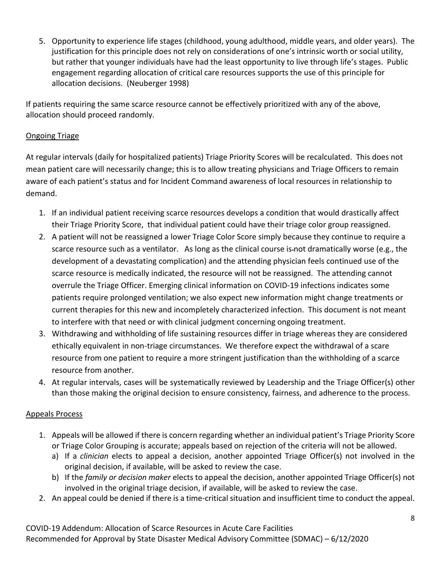5. Opportunity to experience life stages (childhood, young adulthood, middle years, and older years). The justification for this principle does not rely on considerations of one's intrinsic worth or social utility, but rather that younger individuals have had the least opportunity to live through life's stages. Public engagement regarding allocation of critical care resources supports the use of this principle for allocation decisions. (Neuberger 1998)

If patients requiring the same scarce resource cannot be effectively prioritized with any of the above, allocation should proceed randomly.

## Ongoing Triage

At regular intervals (daily for hospitalized patients) Triage Priority Scores will be recalculated. This does not mean patient care will necessarily change; this is to allow treating physicians and Triage Officers to remain aware of each patient's status and for Incident Command awareness of local resources in relationship to demand.

- 1. If an individual patient receiving scarce resources develops a condition that would drastically affect their Triage Priority Score, that individual patient could have their triage color group reassigned.
- 2. A patient will not be reassigned a lower Triage Color Score simply because they continue to require a scarce resource such as a ventilator. As long as the clinical course is not dramatically worse (e.g., the development of a devastating complication) and the attending physician feels continued use of the scarce resource is medically indicated, the resource will not be reassigned. The attending cannot overrule the Triage Officer. Emerging clinical information on COVID-19 infections indicates some patients require prolonged ventilation; we also expect new information might change treatments or current therapies for this new and incompletely characterized infection. This document is not meant to interfere with that need or with clinical judgment concerning ongoing treatment.
- 3. Withdrawing and withholding of life sustaining resources differ in triage whereas they are considered ethically equivalent in non-triage circumstances. We therefore expect the withdrawal of a scare resource from one patient to require a more stringent justification than the withholding of a scarce resource from another.
- 4. At regular intervals, cases will be systematically reviewed by Leadership and the Triage Officer(s) other than those making the original decision to ensure consistency, fairness, and adherence to the process.

### Appeals Process

- 1. Appeals will be allowed if there is concern regarding whether an individual patient's Triage Priority Score or Triage Color Grouping is accurate; appeals based on rejection of the criteria will not be allowed.
	- a) If a *clinician* elects to appeal a decision, another appointed Triage Officer(s) not involved in the original decision, if available, will be asked to review the case.
	- b) If the *family or decision maker* elects to appeal the decision, another appointed Triage Officer(s) not involved in the original triage decision, if available, will be asked to review the case.
- 2. An appeal could be denied if there is a time-critical situation and insufficient time to conduct the appeal.

COVID-19 Addendum: Allocation of Scarce Resources in Acute Care Facilities Recommended for Approval by State Disaster Medical Advisory Committee (SDMAC) – 6/12/2020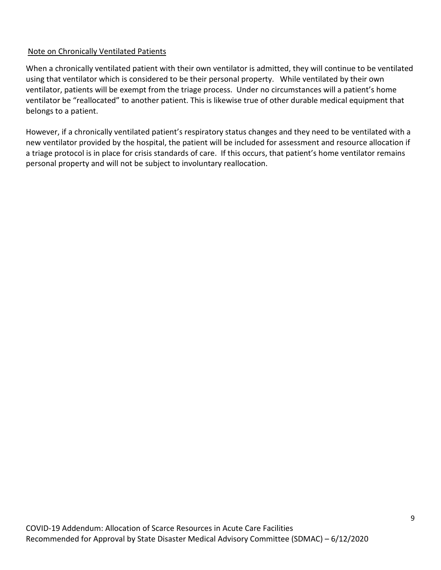## Note on Chronically Ventilated Patients

When a chronically ventilated patient with their own ventilator is admitted, they will continue to be ventilated using that ventilator which is considered to be their personal property. While ventilated by their own ventilator, patients will be exempt from the triage process. Under no circumstances will a patient's home ventilator be "reallocated" to another patient. This is likewise true of other durable medical equipment that belongs to a patient.

However, if a chronically ventilated patient's respiratory status changes and they need to be ventilated with a new ventilator provided by the hospital, the patient will be included for assessment and resource allocation if a triage protocol is in place for crisis standards of care. If this occurs, that patient's home ventilator remains personal property and will not be subject to involuntary reallocation.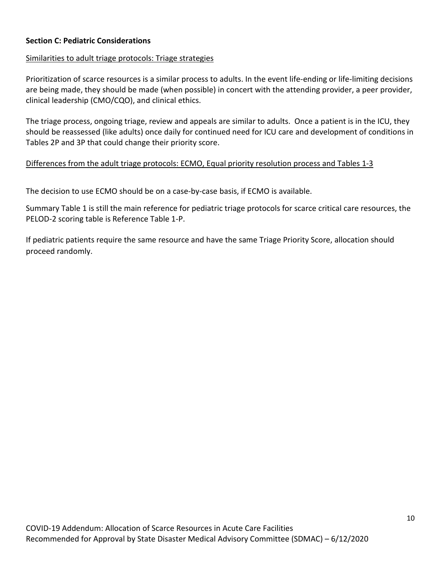### **Section C: Pediatric Considerations**

### Similarities to adult triage protocols: Triage strategies

Prioritization of scarce resources is a similar process to adults. In the event life-ending or life-limiting decisions are being made, they should be made (when possible) in concert with the attending provider, a peer provider, clinical leadership (CMO/CQO), and clinical ethics.

The triage process, ongoing triage, review and appeals are similar to adults. Once a patient is in the ICU, they should be reassessed (like adults) once daily for continued need for ICU care and development of conditions in Tables 2P and 3P that could change their priority score.

### Differences from the adult triage protocols: ECMO, Equal priority resolution process and Tables 1-3

The decision to use ECMO should be on a case-by-case basis, if ECMO is available.

Summary Table 1 is still the main reference for pediatric triage protocols for scarce critical care resources, the PELOD-2 scoring table is Reference Table 1-P.

If pediatric patients require the same resource and have the same Triage Priority Score, allocation should proceed randomly.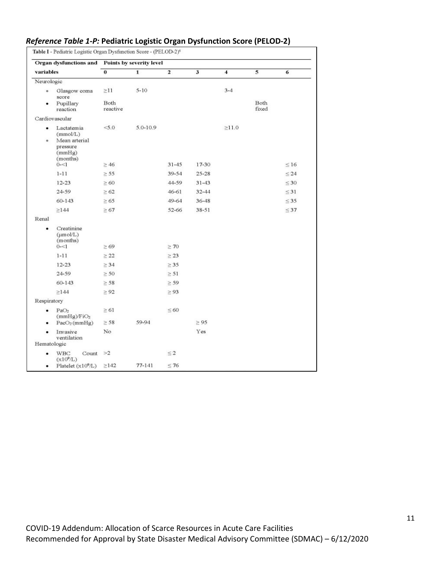| Organ dysfunctions and Points by severity level<br>variables |                                                                           |                         |              |                |           |             |             |           |  |
|--------------------------------------------------------------|---------------------------------------------------------------------------|-------------------------|--------------|----------------|-----------|-------------|-------------|-----------|--|
|                                                              |                                                                           | $\overline{\mathbf{0}}$ | $\mathbf{1}$ | $\overline{2}$ | 3         | 4           | 5           | 6         |  |
| Neurologic                                                   |                                                                           |                         |              |                |           |             |             |           |  |
| ö.                                                           | Glasgow coma<br>score                                                     | $\geq$ 11<br>Both       | $5 - 10$     |                |           | $3 - 4$     | <b>Both</b> |           |  |
|                                                              | Pupillary<br>reaction                                                     | reactive                |              |                |           |             | fixed       |           |  |
|                                                              | Cardiovascular                                                            |                         |              |                |           |             |             |           |  |
| $\bullet$<br>۰                                               | Lactatemia<br>(mmol/L)<br>Mean arterial<br>pressure<br>(mmHg)<br>(months) | 5.0                     | $5.0 - 10.9$ |                | 17-30     | $\geq$ 11.0 |             | $\leq 16$ |  |
|                                                              | $0 - 1$                                                                   | $\geq 46$               |              | $31 - 45$      |           |             |             |           |  |
|                                                              | $1 - 11$                                                                  | $\geq$ 55               |              | 39-54          | $25 - 28$ |             |             | $\leq 24$ |  |
|                                                              | $12 - 23$                                                                 | $\geq 60$               |              | 44-59          | $31 - 43$ |             |             | $\leq 30$ |  |
|                                                              | 24-59                                                                     | $\geq 62$               |              | $46 - 61$      | $32 - 44$ |             |             | $\leq$ 31 |  |
|                                                              | 60-143                                                                    | $\geq 65$               |              | 49-64          | $36 - 48$ |             |             | $\leq$ 35 |  |
| Renal                                                        | $\geq$ 144                                                                | $\geq 67$               |              | 52-66          | $38 - 51$ |             |             | $\leq 37$ |  |
|                                                              | Creatinine<br>$(\mu \text{mol/L})$<br>(months)<br>$0 - 1$                 | $\geq 69$               |              | $\geq 70$      |           |             |             |           |  |
|                                                              | $1 - 11$                                                                  | $\geq 22$               |              | $\geq 23$      |           |             |             |           |  |
|                                                              | $12 - 23$                                                                 | $\geq$ 34               |              | $\geq$ 35      |           |             |             |           |  |
|                                                              | 24-59                                                                     | $\geq 50$               |              | $\geq 51$      |           |             |             |           |  |
|                                                              | 60-143                                                                    | $\geq$ 58               |              | $\geq$ 59      |           |             |             |           |  |
|                                                              | $\geq$ 144                                                                | $\geq 92$               |              | $\geq 93$      |           |             |             |           |  |
| Respiratory                                                  |                                                                           |                         |              |                |           |             |             |           |  |
| ٠                                                            | PaO <sub>2</sub><br>(mmHg)/FiO <sub>2</sub>                               | $\geq 61$               |              | $\leq 60$      |           |             |             |           |  |
| ٠                                                            | PacO <sub>2</sub> (mmHg)                                                  | $\geq 58$               | 59-94        |                | $\geq 95$ |             |             |           |  |
| Hematologic                                                  | Invasive<br>ventilation                                                   | No                      |              |                | Yes       |             |             |           |  |
| ٠                                                            | <b>WBC</b><br>Count $\geq 2$<br>(x10 <sup>9</sup> /L)                     |                         |              | $\leq 2$       |           |             |             |           |  |
| ٠                                                            | Platelet $(x10^9/L) \ge 142$                                              |                         | 77-141       | $\leq 76$      |           |             |             |           |  |

### *Reference Table 1-P:* **Pediatric Logistic Organ Dysfunction Score (PELOD-2)**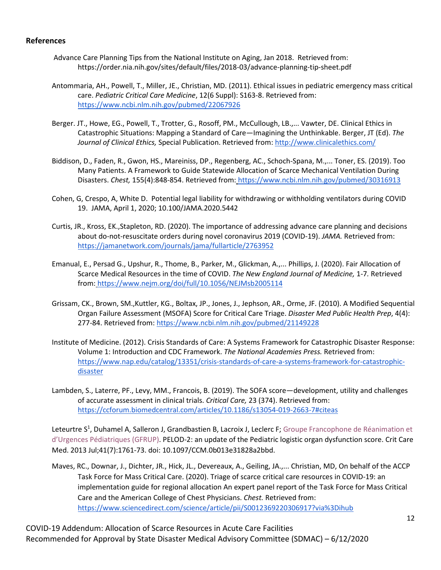### **References**

- Advance Care Planning Tips from the National Institute on Aging, Jan 2018. Retrieved from: https://order.nia.nih.gov/sites/default/files/2018-03/advance-planning-tip-sheet.pdf
- Antommaria, AH., Powell, T., Miller, JE., Christian, MD. (2011). Ethical issues in pediatric emergency mass critical care. *Pediatric Critical Care Medicine*, 12(6 Suppl): S163-8. Retrieved from[:](https://www.ncbi.nlm.nih.gov/pubmed/22067926) <https://www.ncbi.nlm.nih.gov/pubmed/22067926>
- Berger. JT., Howe, EG., Powell, T., Trotter, G., Rosoff, PM., McCullough, LB.,... Vawter, DE. Clinical Ethics in Catastrophic Situations: Mapping a Standard of Care—Imagining the Unthinkable. Berger, JT (Ed). *The Journal of Clinical Ethics,* Special Publication. Retrieved from:<http://www.clinicalethics.com/>
- Biddison, D., Faden, R., Gwon, HS., Mareiniss, DP., Regenberg, AC., Schoch-Spana, M.,... Toner, ES. (2019). Too Many Patients. A Framework to Guide Statewide Allocation of Scarce Mechanical Ventilation During Disasters. *Chest,* 155(4):848-854. Retrieved from: <https://www.ncbi.nlm.nih.gov/pubmed/30316913>
- Cohen, G, Crespo, A, White D. Potential legal liability for withdrawing or withholding ventilators during COVID 19. JAMA, April 1, 2020; 10.100/JAMA.2020.5442
- Curtis, JR., Kross, EK.,Stapleton, RD. (2020). The importance of addressing advance care planning and decisions about do-not-resuscitate orders during novel coronavirus 2019 (COVID-19). *JAMA.* Retrieved from[:](https://jamanetwork.com/journals/jama/fullarticle/2763952) <https://jamanetwork.com/journals/jama/fullarticle/2763952>
- Emanual, E., Persad G., Upshur, R., Thome, B., Parker, M., Glickman, A.,... Phillips, J. (2020). Fair Allocation of Scarce Medical Resources in the time of COVID. *The New England Journal of Medicine,* 1-7*.* Retrieved from: <https://www.nejm.org/doi/full/10.1056/NEJMsb2005114>
- Grissam, CK., Brown, SM.,Kuttler, KG., Boltax, JP., Jones, J., Jephson, AR., Orme, JF. (2010). A Modified Sequential Organ Failure Assessment (MSOFA) Score for Critical Care Triage. *Disaster Med Public Health Prep*, 4(4): 277-84. Retrieved from:<https://www.ncbi.nlm.nih.gov/pubmed/21149228>
- Institute of Medicine. (2012). Crisis Standards of Care: A Systems Framework for Catastrophic Disaster Response: Volume 1: Introduction and CDC Framework. *The National Academies Press.* Retrieved from[:](https://www.nap.edu/catalog/13351/crisis-standards-of-care-a-systems-framework-for-catastrophic-disaster) [https://www.nap.edu/catalog/13351/crisis-standards-of-care-a-systems-framework-for-catastrophic](https://www.nap.edu/catalog/13351/crisis-standards-of-care-a-systems-framework-for-catastrophic-disaster)[disaster](https://www.nap.edu/catalog/13351/crisis-standards-of-care-a-systems-framework-for-catastrophic-disaster)
- Lambden, S., Laterre, PF., Levy, MM., Francois, B. (2019). The SOFA score—development, utility and challenges of accurate assessment in clinical trials. *Critical Care,* 23 (374). Retrieved from: <https://ccforum.biomedcentral.com/articles/10.1186/s13054-019-2663-7#citeas>

Leteurtre S<sup>1</sup>, [Duhamel A,](https://www.ncbi.nlm.nih.gov/pubmed/?term=Duhamel%20A%5BAuthor%5D&cauthor=true&cauthor_uid=23685639) [Salleron J,](https://www.ncbi.nlm.nih.gov/pubmed/?term=Salleron%20J%5BAuthor%5D&cauthor=true&cauthor_uid=23685639) [Grandbastien B,](https://www.ncbi.nlm.nih.gov/pubmed/?term=Grandbastien%20B%5BAuthor%5D&cauthor=true&cauthor_uid=23685639) [Lacroix J,](https://www.ncbi.nlm.nih.gov/pubmed/?term=Lacroix%20J%5BAuthor%5D&cauthor=true&cauthor_uid=23685639) [Leclerc F;](https://www.ncbi.nlm.nih.gov/pubmed/?term=Leclerc%20F%5BAuthor%5D&cauthor=true&cauthor_uid=23685639) Groupe Francophone de Réanimation et [d'Urgences Pédiatriques \(GFRUP\).](https://www.ncbi.nlm.nih.gov/pubmed/?term=Groupe%20Francophone%20de%20R%C3%A9animation%20et%20d%E2%80%99Urgences%20P%C3%A9diatriques%20(GFRUP)%5BCorporate%20Author%5D) PELOD-2: an update of the Pediatric logistic organ dysfunction score. [Crit Care](https://www.ncbi.nlm.nih.gov/pubmed/23685639)  [Med.](https://www.ncbi.nlm.nih.gov/pubmed/23685639) 2013 Jul;41(7):1761-73. doi: 10.1097/CCM.0b013e31828a2bbd.

Maves, RC., Downar, J., Dichter, JR., Hick, JL., Devereaux, A., Geiling, JA.,... Christian, MD, On behalf of the ACCP Task Force for Mass Critical Care. (2020). Triage of scarce critical care resources in COVID-19: an implementation guide for regional allocation An expert panel report of the Task Force for Mass Critical Care and the American College of Chest Physicians. *Chest.* Retrieved from[:](https://www.sciencedirect.com/science/article/pii/S0012369220306917?via%3Dihub) <https://www.sciencedirect.com/science/article/pii/S0012369220306917?via%3Dihub>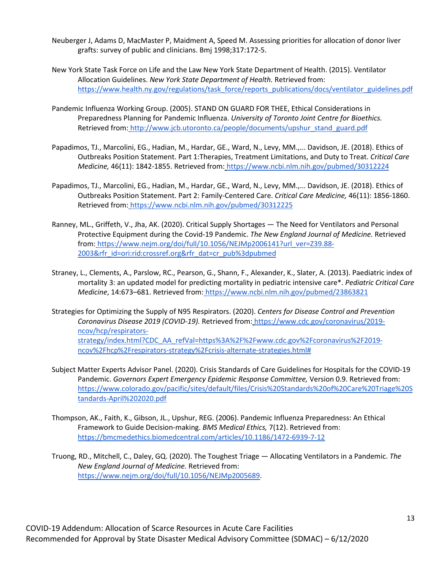- Neuberger J, Adams D, MacMaster P, Maidment A, Speed M. Assessing priorities for allocation of donor liver grafts: survey of public and clinicians. Bmj 1998;317:172-5.
- New York State Task Force on Life and the Law New York State Department of Health. (2015). Ventilator Allocation Guidelines. *New York State Department of Health.* Retrieved from[:](https://www.health.ny.gov/regulations/task_force/reports_publications/docs/ventilator_guidelines.pdf) [https://www.health.ny.gov/regulations/task\\_force/reports\\_publications/docs/ventilator\\_guidelines.pdf](https://www.health.ny.gov/regulations/task_force/reports_publications/docs/ventilator_guidelines.pdf)
- Pandemic Influenza Working Group. (2005). STAND ON GUARD FOR THEE, Ethical Considerations in Preparedness Planning for Pandemic Influenza. *University of Toronto Joint Centre for Bioethics.*  Retrieved from: [http://www.jcb.utoronto.ca/people/documents/upshur\\_stand\\_guard.pdf](http://www.jcb.utoronto.ca/people/documents/upshur_stand_guard.pdf)
- Papadimos, TJ., Marcolini, EG., Hadian, M., Hardar, GE., Ward, N., Levy, MM.,... Davidson, JE. (2018). Ethics of Outbreaks Position Statement. Part 1:Therapies, Treatment Limitations, and Duty to Treat. *Critical Care Medicine,* 46(11): 1842-1855. Retrieved from: <https://www.ncbi.nlm.nih.gov/pubmed/30312224>
- Papadimos, TJ., Marcolini, EG., Hadian, M., Hardar, GE., Ward, N., Levy, MM.,... Davidson, JE. (2018). Ethics of Outbreaks Position Statement. Part 2: Family-Centered Care. *Critical Care Medicine,* 46(11): 1856-1860. Retrieved from: <https://www.ncbi.nlm.nih.gov/pubmed/30312225>
- Ranney, ML., Griffeth, V., Jha, AK. (2020). Critical Supply Shortages The Need for Ventilators and Personal Protective Equipment during the Covid-19 Pandemic. *The New England Journal of Medicine.* Retrieved from: [https://www.nejm.org/doi/full/10.1056/NEJMp2006141?url\\_ver=Z39.88-](https://www.nejm.org/doi/full/10.1056/NEJMp2006141?url_ver=Z39.88-2003&rfr_id=ori:rid:crossref.org&rfr_dat=cr_pub%3dpubmed) [2003&rfr\\_id=ori:rid:crossref.org&rfr\\_dat=cr\\_pub%3dpubmed](https://www.nejm.org/doi/full/10.1056/NEJMp2006141?url_ver=Z39.88-2003&rfr_id=ori:rid:crossref.org&rfr_dat=cr_pub%3dpubmed)
- Straney, L., Clements, A., Parslow, RC., Pearson, G., Shann, F., Alexander, K., Slater, A. (2013). Paediatric index of mortality 3: an updated model for predicting mortality in pediatric intensive care\*. *Pediatric Critical Care Medicine*, 14:673–681. Retrieved from: <https://www.ncbi.nlm.nih.gov/pubmed/23863821>
- Strategies for Optimizing the Supply of N95 Respirators. (2020). *Centers for Disease Control and Prevention Coronavirus Disease 2019 (COVID-19).* Retrieved from: [https://www.cdc.gov/coronavirus/2019](https://www.cdc.gov/coronavirus/2019-ncov/hcp/respirators-strategy/index.html?CDC_AA_refVal=https%3A%2F%2Fwww.cdc.gov%2Fcoronavirus%2F2019-ncov%2Fhcp%2Frespirators-strategy%2Fcrisis-alternate-strategies.html) [ncov/hcp/respirators](https://www.cdc.gov/coronavirus/2019-ncov/hcp/respirators-strategy/index.html?CDC_AA_refVal=https%3A%2F%2Fwww.cdc.gov%2Fcoronavirus%2F2019-ncov%2Fhcp%2Frespirators-strategy%2Fcrisis-alternate-strategies.html)[strategy/index.html?CDC\\_AA\\_refVal=https%3A%2F%2Fwww.cdc.gov%2Fcoronavirus%2F2019](https://www.cdc.gov/coronavirus/2019-ncov/hcp/respirators-strategy/index.html?CDC_AA_refVal=https%3A%2F%2Fwww.cdc.gov%2Fcoronavirus%2F2019-ncov%2Fhcp%2Frespirators-strategy%2Fcrisis-alternate-strategies.html) [ncov%2Fhcp%2Frespirators-strategy%2Fcrisis-alternate-strategies.html#](https://www.cdc.gov/coronavirus/2019-ncov/hcp/respirators-strategy/index.html?CDC_AA_refVal=https%3A%2F%2Fwww.cdc.gov%2Fcoronavirus%2F2019-ncov%2Fhcp%2Frespirators-strategy%2Fcrisis-alternate-strategies.html)
- Subject Matter Experts Advisor Panel. (2020). Crisis Standards of Care Guidelines for Hospitals for the COVID-19 Pandemic. *Governors Expert Emergency Epidemic Response Committee,* Version 0.9. Retrieved from[:](https://www.colorado.gov/pacific/sites/default/files/Crisis%20Standards%20of%20Care%20Triage%20Standards-April%202020.pdf) [https://www.colorado.gov/pacific/sites/default/files/Crisis%20Standards%20of%20Care%20Triage%20S](https://www.colorado.gov/pacific/sites/default/files/Crisis%20Standards%20of%20Care%20Triage%20Standards-April%202020.pdf) [tandards-April%202020.pdf](https://www.colorado.gov/pacific/sites/default/files/Crisis%20Standards%20of%20Care%20Triage%20Standards-April%202020.pdf)
- Thompson, AK., Faith, K., Gibson, JL., Upshur, REG. (2006). Pandemic Influenza Preparedness: An Ethical Framework to Guide Decision-making. *BMS Medical Ethics,* 7(12). Retrieved from[:](https://bmcmedethics.biomedcentral.com/articles/10.1186/1472-6939-7-12) <https://bmcmedethics.biomedcentral.com/articles/10.1186/1472-6939-7-12>
- Truong, RD., Mitchell, C., Daley, GQ. (2020). The Toughest Triage Allocating Ventilators in a Pandemic. *The New England Journal of Medicine.* Retrieved from[:](https://www.nejm.org/doi/full/10.1056/NEJMp2005689) [https://www.nejm.org/doi/full/10.1056/NEJMp2005689.](https://www.nejm.org/doi/full/10.1056/NEJMp2005689)